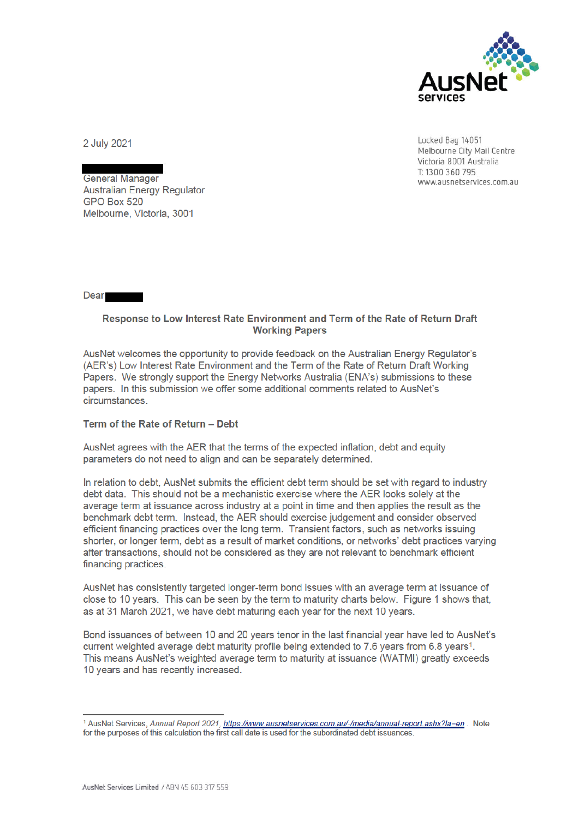

Locked Bag 14051 Melbourne City Mail Centre Victoria 8001 Australia T: 1300 360 795 www.ausnetservices.com.au

2 July 2021

**General Manager Australian Energy Regulator** GPO Box 520 Melbourne, Victoria, 3001

**Dear** 

## Response to Low Interest Rate Environment and Term of the Rate of Return Draft **Working Papers**

AusNet welcomes the opportunity to provide feedback on the Australian Energy Regulator's (AER's) Low Interest Rate Environment and the Term of the Rate of Return Draft Working Papers. We strongly support the Energy Networks Australia (ENA's) submissions to these papers. In this submission we offer some additional comments related to AusNet's **circumstances** 

## Term of the Rate of Return - Debt

AusNet agrees with the AER that the terms of the expected inflation, debt and equity parameters do not need to align and can be separately determined.

In relation to debt, AusNet submits the efficient debt term should be set with regard to industry debt data. This should not be a mechanistic exercise where the AER looks solely at the average term at issuance across industry at a point in time and then applies the result as the benchmark debt term. Instead, the AER should exercise judgement and consider observed efficient financing practices over the long term. Transient factors, such as networks issuing shorter, or longer term, debt as a result of market conditions, or networks' debt practices varying after transactions, should not be considered as they are not relevant to benchmark efficient financing practices.

AusNet has consistently targeted longer-term bond issues with an average term at issuance of close to 10 years. This can be seen by the term to maturity charts below. Figure 1 shows that, as at 31 March 2021, we have debt maturing each year for the next 10 years.

Bond issuances of between 10 and 20 years tenor in the last financial year have led to AusNet's current weighted average debt maturity profile being extended to 7.6 years from 6.8 years<sup>1</sup>. This means AusNet's weighted average term to maturity at issuance (WATMI) greatly exceeds 10 years and has recently increased.

<sup>&</sup>lt;sup>1</sup> AusNet Services, Annual Report 2021, https://www.ausnetservices.com.au/-/media/annual-report.ashx?la=en. Note for the purposes of this calculation the first call date is used for the subordinated debt issuances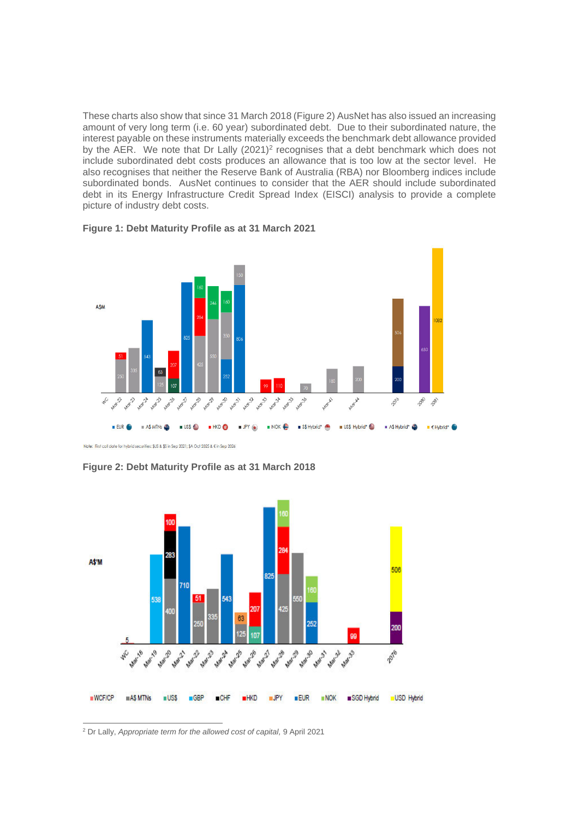These charts also show that since 31 March 2018 (Figure 2) AusNet has also issued an increasing amount of very long term (i.e. 60 year) subordinated debt. Due to their subordinated nature, the interest payable on these instruments materially exceeds the benchmark debt allowance provided by the AER. We note that Dr Lally  $(2021)^2$  recognises that a debt benchmark which does not include subordinated debt costs produces an allowance that is too low at the sector level. He also recognises that neither the Reserve Bank of Australia (RBA) nor Bloomberg indices include subordinated bonds. AusNet continues to consider that the AER should include subordinated debt in its Energy Infrastructure Credit Spread Index (EISCI) analysis to provide a complete picture of industry debt costs.





Note: First call date for hybrid securities: \$US & \$S in Sep 2021; \$A Oct 2025 & € in Sep 2026

**Figure 2: Debt Maturity Profile as at 31 March 2018**



<sup>2</sup> Dr Lally, *Appropriate term for the allowed cost of capital,* 9 April 2021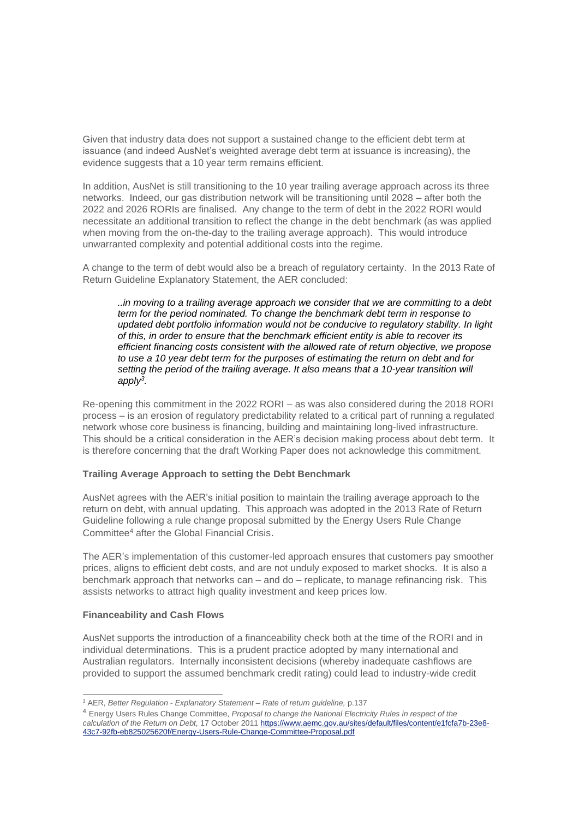Given that industry data does not support a sustained change to the efficient debt term at issuance (and indeed AusNet's weighted average debt term at issuance is increasing), the evidence suggests that a 10 year term remains efficient.

In addition, AusNet is still transitioning to the 10 year trailing average approach across its three networks. Indeed, our gas distribution network will be transitioning until 2028 – after both the 2022 and 2026 RORIs are finalised. Any change to the term of debt in the 2022 RORI would necessitate an additional transition to reflect the change in the debt benchmark (as was applied when moving from the on-the-day to the trailing average approach). This would introduce unwarranted complexity and potential additional costs into the regime.

A change to the term of debt would also be a breach of regulatory certainty. In the 2013 Rate of Return Guideline Explanatory Statement, the AER concluded:

*..in moving to a trailing average approach we consider that we are committing to a debt term for the period nominated. To change the benchmark debt term in response to updated debt portfolio information would not be conducive to regulatory stability. In light of this, in order to ensure that the benchmark efficient entity is able to recover its efficient financing costs consistent with the allowed rate of return objective, we propose to use a 10 year debt term for the purposes of estimating the return on debt and for setting the period of the trailing average. It also means that a 10-year transition will apply<sup>3</sup> .* 

Re-opening this commitment in the 2022 RORI – as was also considered during the 2018 RORI process – is an erosion of regulatory predictability related to a critical part of running a regulated network whose core business is financing, building and maintaining long-lived infrastructure. This should be a critical consideration in the AER's decision making process about debt term. It is therefore concerning that the draft Working Paper does not acknowledge this commitment.

## **Trailing Average Approach to setting the Debt Benchmark**

AusNet agrees with the AER's initial position to maintain the trailing average approach to the return on debt, with annual updating. This approach was adopted in the 2013 Rate of Return Guideline following a rule change proposal submitted by the Energy Users Rule Change Committee<sup>4</sup> after the Global Financial Crisis.

The AER's implementation of this customer-led approach ensures that customers pay smoother prices, aligns to efficient debt costs, and are not unduly exposed to market shocks. It is also a benchmark approach that networks can – and do – replicate, to manage refinancing risk. This assists networks to attract high quality investment and keep prices low.

## **Financeability and Cash Flows**

AusNet supports the introduction of a financeability check both at the time of the RORI and in individual determinations. This is a prudent practice adopted by many international and Australian regulators. Internally inconsistent decisions (whereby inadequate cashflows are provided to support the assumed benchmark credit rating) could lead to industry-wide credit

<sup>3</sup> AER, *Better Regulation - Explanatory Statement – Rate of return guideline,* p.137

<sup>4</sup> Energy Users Rules Change Committee, *Proposal to change the National Electricity Rules in respect of the calculation of the Return on Debt,* 17 October 2011 https://www.aemc.gov.au/sites/default/files/content/e1fcfa7b-23e8- 43c7-92fb-eb825025620f/Energy-Users-Rule-Change-Committee-Proposal.pdf